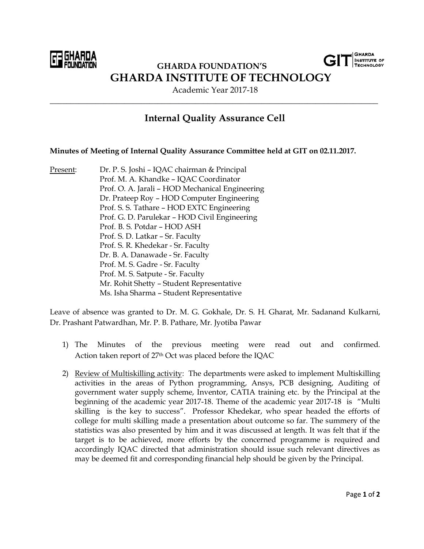

 **GHARDA FOUNDATION'S GHARDA INSTITUTE OF TECHNOLOGY**

Academic Year 2017-18 \_\_\_\_\_\_\_\_\_\_\_\_\_\_\_\_\_\_\_\_\_\_\_\_\_\_\_\_\_\_\_\_\_\_\_\_\_\_\_\_\_\_\_\_\_\_\_\_\_\_\_\_\_\_\_\_\_\_\_\_\_\_\_\_\_\_\_\_\_\_\_\_\_\_\_\_\_\_\_

## **Internal Quality Assurance Cell**

## **Minutes of Meeting of Internal Quality Assurance Committee held at GIT on 02.11.2017.**

Present: Dr. P. S. Joshi – IQAC chairman & Principal Prof. M. A. Khandke – IQAC Coordinator Prof. O. A. Jarali – HOD Mechanical Engineering Dr. Prateep Roy – HOD Computer Engineering Prof. S. S. Tathare – HOD EXTC Engineering Prof. G. D. Parulekar – HOD Civil Engineering Prof. B. S. Potdar – HOD ASH Prof. S. D. Latkar – Sr. Faculty Prof. S. R. Khedekar - Sr. Faculty Dr. B. A. Danawade - Sr. Faculty Prof. M. S. Gadre - Sr. Faculty Prof. M. S. Satpute - Sr. Faculty Mr. Rohit Shetty – Student Representative Ms. Isha Sharma – Student Representative

Leave of absence was granted to Dr. M. G. Gokhale, Dr. S. H. Gharat, Mr. Sadanand Kulkarni, Dr. Prashant Patwardhan, Mr. P. B. Pathare, Mr. Jyotiba Pawar

- 1) The Minutes of the previous meeting were read out and confirmed. Action taken report of 27th Oct was placed before the IQAC
- 2) Review of Multiskilling activity: The departments were asked to implement Multiskilling activities in the areas of Python programming, Ansys, PCB designing, Auditing of government water supply scheme, Inventor, CATIA training etc. by the Principal at the beginning of the academic year 2017-18. Theme of the academic year 2017-18 is "Multi skilling is the key to success". Professor Khedekar, who spear headed the efforts of college for multi skilling made a presentation about outcome so far. The summery of the statistics was also presented by him and it was discussed at length. It was felt that if the target is to be achieved, more efforts by the concerned programme is required and accordingly IQAC directed that administration should issue such relevant directives as may be deemed fit and corresponding financial help should be given by the Principal.

**GHARDA INSTITUTE OF ECHNOLOGY**